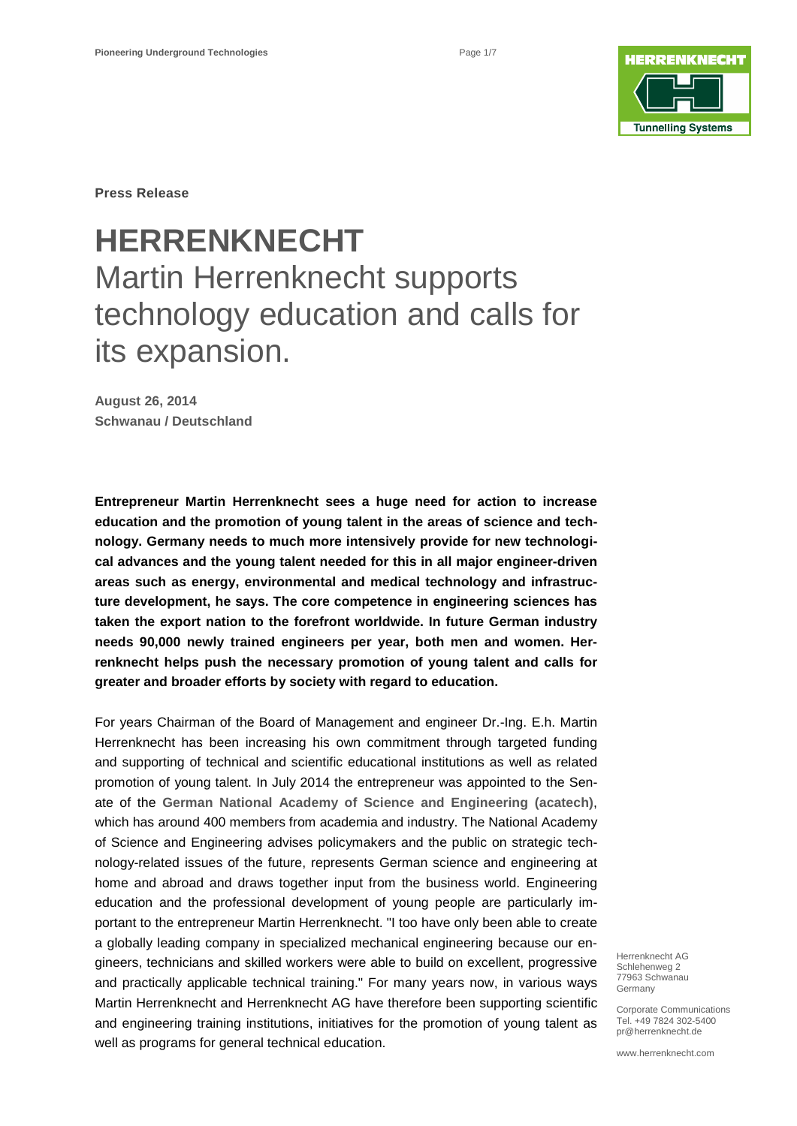

**Press Release**

# **HERRENKNECHT** Martin Herrenknecht supports technology education and calls for its expansion.

**August 26, 2014 Schwanau / Deutschland**

**Entrepreneur Martin Herrenknecht sees a huge need for action to increase education and the promotion of young talent in the areas of science and technology. Germany needs to much more intensively provide for new technological advances and the young talent needed for this in all major engineer-driven areas such as energy, environmental and medical technology and infrastructure development, he says. The core competence in engineering sciences has taken the export nation to the forefront worldwide. In future German industry needs 90,000 newly trained engineers per year, both men and women. Herrenknecht helps push the necessary promotion of young talent and calls for greater and broader efforts by society with regard to education.** 

For years Chairman of the Board of Management and engineer Dr.-Ing. E.h. Martin Herrenknecht has been increasing his own commitment through targeted funding and supporting of technical and scientific educational institutions as well as related promotion of young talent. In July 2014 the entrepreneur was appointed to the Senate of the **German National Academy of Science and Engineering (acatech)**, which has around 400 members from academia and industry. The National Academy of Science and Engineering advises policymakers and the public on strategic technology-related issues of the future, represents German science and engineering at home and abroad and draws together input from the business world. Engineering education and the professional development of young people are particularly important to the entrepreneur Martin Herrenknecht. "I too have only been able to create a globally leading company in specialized mechanical engineering because our engineers, technicians and skilled workers were able to build on excellent, progressive and practically applicable technical training." For many years now, in various ways Martin Herrenknecht and Herrenknecht AG have therefore been supporting scientific and engineering training institutions, initiatives for the promotion of young talent as well as programs for general technical education.

Herrenknecht AG Schlehenweg 2 77963 Schwanau Germany

Corporate Communications Tel. +49 7824 302-5400 pr@herrenknecht.de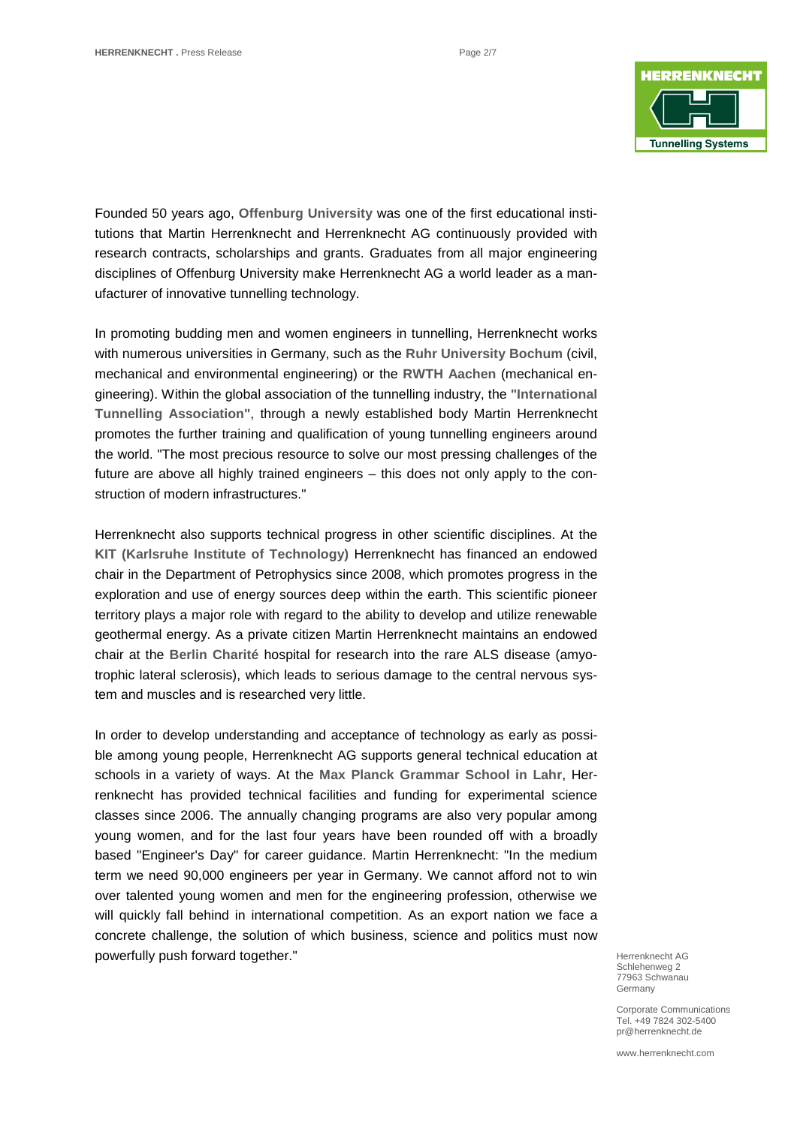

Founded 50 years ago, **Offenburg University** was one of the first educational institutions that Martin Herrenknecht and Herrenknecht AG continuously provided with research contracts, scholarships and grants. Graduates from all major engineering disciplines of Offenburg University make Herrenknecht AG a world leader as a manufacturer of innovative tunnelling technology.

In promoting budding men and women engineers in tunnelling, Herrenknecht works with numerous universities in Germany, such as the **Ruhr University Bochum** (civil, mechanical and environmental engineering) or the **RWTH Aachen** (mechanical engineering). Within the global association of the tunnelling industry, the **"International Tunnelling Association"**, through a newly established body Martin Herrenknecht promotes the further training and qualification of young tunnelling engineers around the world. "The most precious resource to solve our most pressing challenges of the future are above all highly trained engineers – this does not only apply to the construction of modern infrastructures."

Herrenknecht also supports technical progress in other scientific disciplines. At the **KIT (Karlsruhe Institute of Technology)** Herrenknecht has financed an endowed chair in the Department of Petrophysics since 2008, which promotes progress in the exploration and use of energy sources deep within the earth. This scientific pioneer territory plays a major role with regard to the ability to develop and utilize renewable geothermal energy. As a private citizen Martin Herrenknecht maintains an endowed chair at the **Berlin Charité** hospital for research into the rare ALS disease (amyotrophic lateral sclerosis), which leads to serious damage to the central nervous system and muscles and is researched very little.

In order to develop understanding and acceptance of technology as early as possible among young people, Herrenknecht AG supports general technical education at schools in a variety of ways. At the **Max Planck Grammar School in Lahr**, Herrenknecht has provided technical facilities and funding for experimental science classes since 2006. The annually changing programs are also very popular among young women, and for the last four years have been rounded off with a broadly based "Engineer's Day" for career guidance. Martin Herrenknecht: "In the medium term we need 90,000 engineers per year in Germany. We cannot afford not to win over talented young women and men for the engineering profession, otherwise we will quickly fall behind in international competition. As an export nation we face a concrete challenge, the solution of which business, science and politics must now powerfully push forward together."

Herrenknecht AG Schlehenweg 2 77963 Schwanau Germany

Corporate Communications Tel. +49 7824 302-5400 pr@herrenknecht.de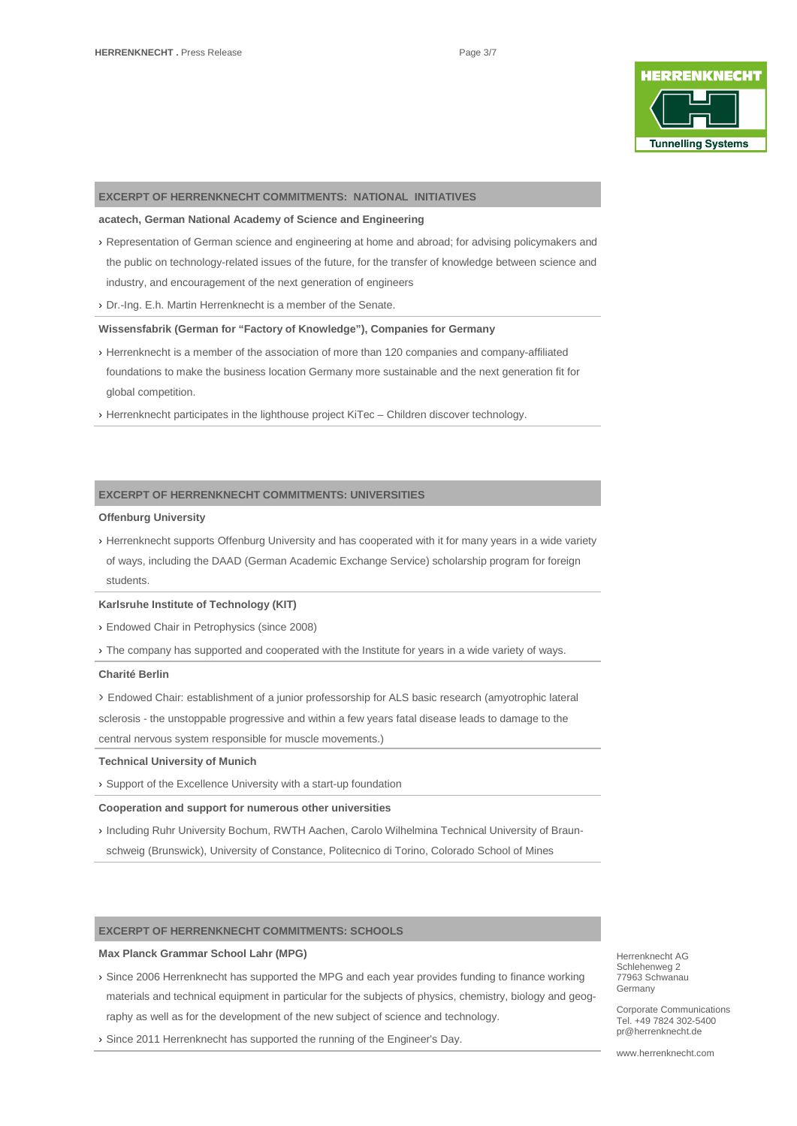

#### **EXCERPT OF HERRENKNECHT COMMITMENTS: NATIONAL INITIATIVES**

#### **acatech, German National Academy of Science and Engineering**

- › Representation of German science and engineering at home and abroad; for advising policymakers and the public on technology-related issues of the future, for the transfer of knowledge between science and industry, and encouragement of the next generation of engineers
- › Dr.-Ing. E.h. Martin Herrenknecht is a member of the Senate.

#### **Wissensfabrik (German for "Factory of Knowledge"), Companies for Germany**

- › Herrenknecht is a member of the association of more than 120 [companies](https://www.wissensfabrik-deutschland.de/portal/fep/de/dt.jsp?setCursor=1_443657) and company-affiliated foundations to make the business location Germany more sustainable and the next generation fit for global competition.
- › Herrenknecht participates in the lighthouse project KiTec Children discover technology.

## **EXCERPT OF HERRENKNECHT COMMITMENTS: UNIVERSITIES**

### **Offenburg University**

› Herrenknecht supports Offenburg University and has cooperated with it for many years in a wide variety of ways, including the DAAD (German Academic Exchange Service) scholarship program for foreign students.

#### **Karlsruhe Institute of Technology (KIT)**

› Endowed Chair in Petrophysics (since 2008)

› The company has supported and cooperated with the Institute for years in a wide variety of ways.

#### **Charité Berlin**

› Endowed Chair: establishment of a junior professorship for ALS basic research (amyotrophic lateral sclerosis - the unstoppable progressive and within a few years fatal disease leads to damage to the central nervous system responsible for muscle movements.)

#### **Technical University of Munich**

› Support of the Excellence University with a start-up foundation

#### **Cooperation and support for numerous other universities**

› Including Ruhr University Bochum, RWTH Aachen, Carolo Wilhelmina Technical University of Braunschweig (Brunswick), University of Constance, Politecnico di Torino, Colorado School of Mines

#### **EXCERPT OF HERRENKNECHT COMMITMENTS: SCHOOLS**

#### **Max Planck Grammar School Lahr (MPG)**

- › Since 2006 Herrenknecht has supported the MPG and each year provides funding to finance working materials and technical equipment in particular for the subjects of physics, chemistry, biology and geography as well as for the development of the new subject of science and technology.
- › Since 2011 Herrenknecht has supported the running of the Engineer's Day.

Herrenknecht AG Schlehenweg 2 77963 Schwanau Germany

Corporate Communications Tel. +49 7824 302-5400 pr@herrenknecht.de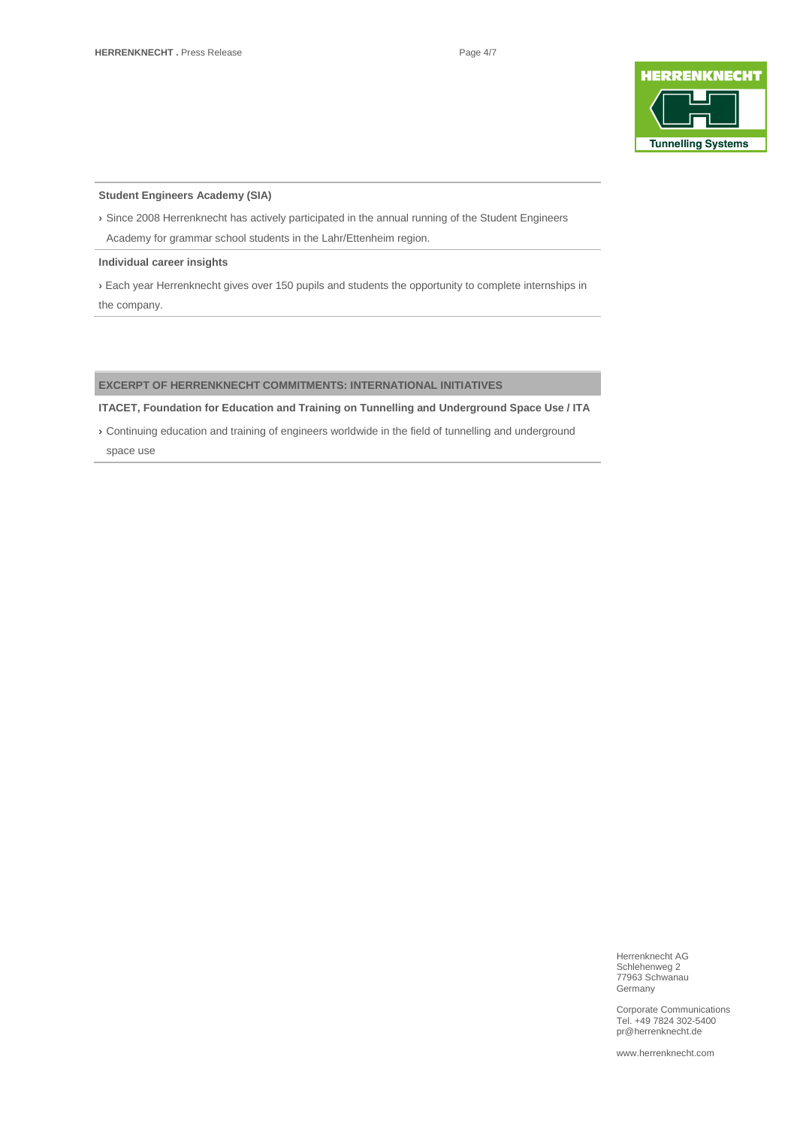

# **Student Engineers Academy (SIA)**

**›** Since 2008 Herrenknecht has actively participated in the annual running of the Student Engineers Academy for grammar school students in the Lahr/Ettenheim region.

#### **Individual career insights**

**›** Each year Herrenknecht gives over 150 pupils and students the opportunity to complete internships in the company.

# **EXCERPT OF HERRENKNECHT COMMITMENTS: INTERNATIONAL INITIATIVES**

**ITACET, Foundation for Education and Training on Tunnelling and Underground Space Use / ITA**

› Continuing education and training of engineers worldwide in the field of tunnelling and underground space use

> Herrenknecht AG Schlehenweg 2 77963 Schwanau **Germany**

Corporate Communications Tel. +49 7824 302-5400 pr@herrenknecht.de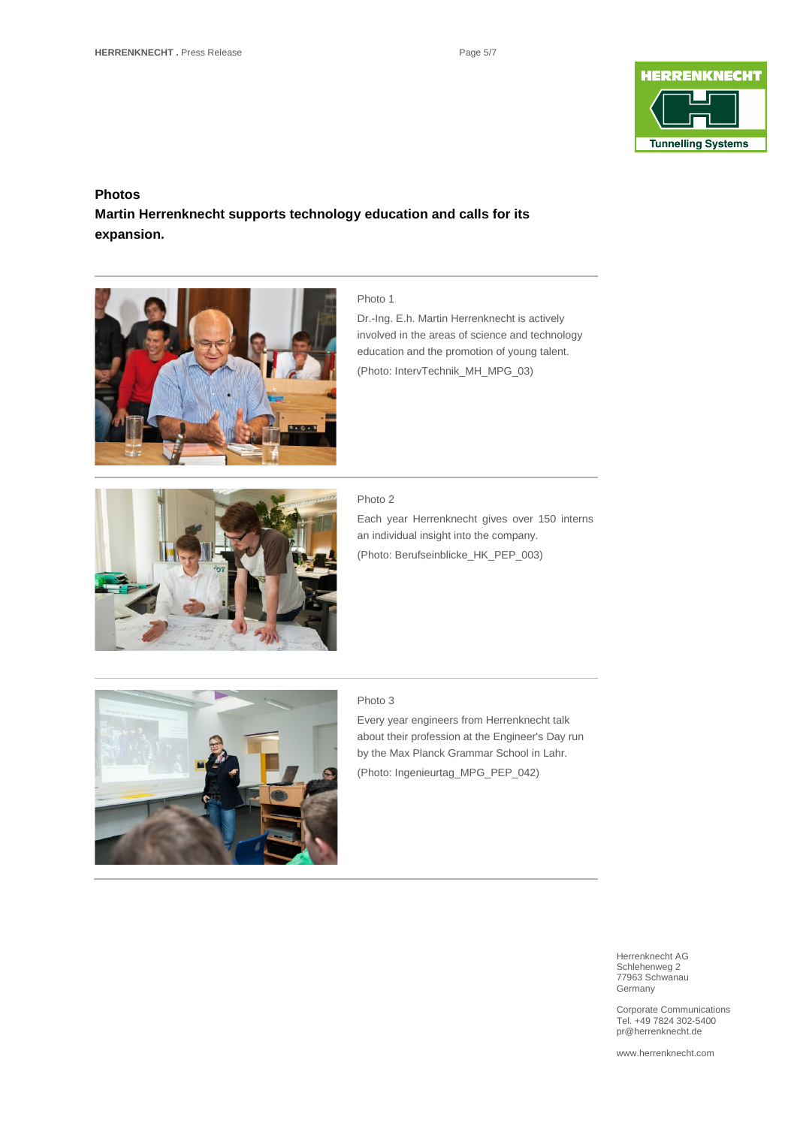

# **Photos**

# **Martin Herrenknecht supports technology education and calls for its expansion.**



# Photo 1

Dr.-Ing. E.h. Martin Herrenknecht is actively involved in the areas of science and technology education and the promotion of young talent. (Photo: IntervTechnik\_MH\_MPG\_03)



#### Photo 2

Each year Herrenknecht gives over 150 interns an individual insight into the company. (Photo: Berufseinblicke\_HK\_PEP\_003)



#### Photo 3

Every year engineers from Herrenknecht talk about their profession at the Engineer's Day run by the Max Planck Grammar School in Lahr. (Photo: Ingenieurtag\_MPG\_PEP\_042)

> Herrenknecht AG Schlehenweg 2 77963 Schwanau Germany

Corporate Communications Tel. +49 7824 302-5400 pr@herrenknecht.de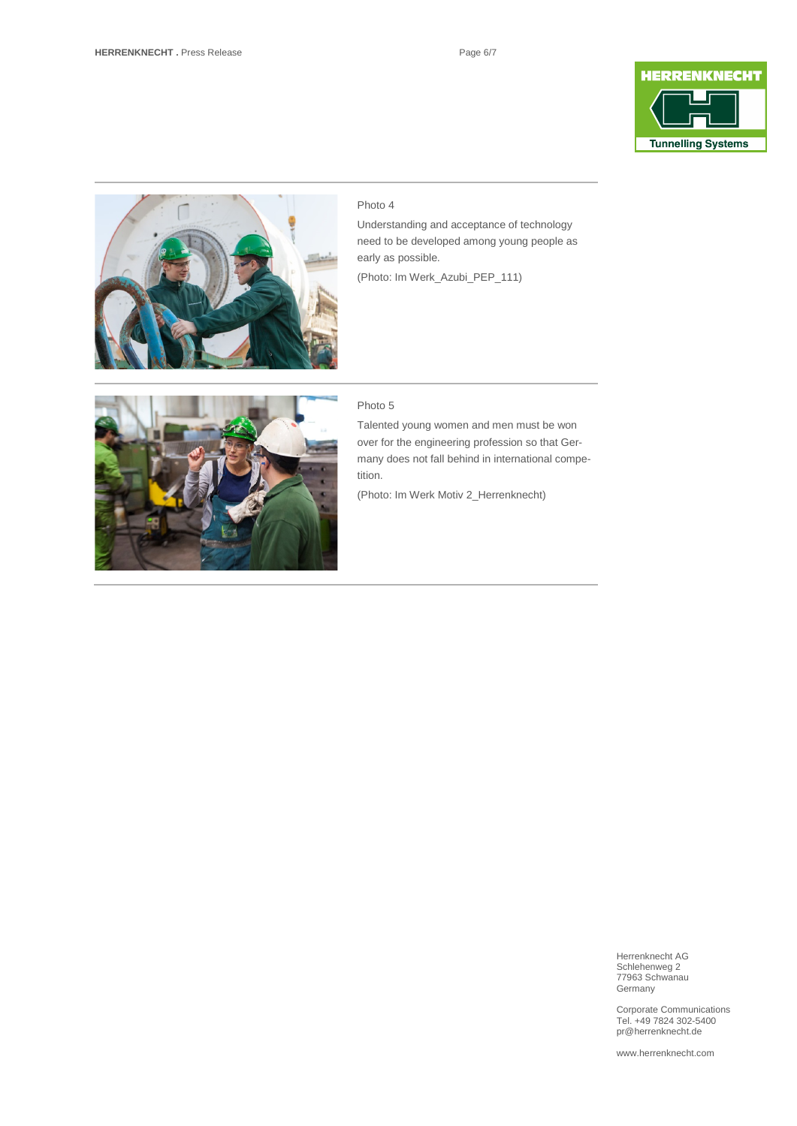



# Photo 4

Understanding and acceptance of technology need to be developed among young people as early as possible.

(Photo: Im Werk\_Azubi\_PEP\_111)



## Photo 5

Talented young women and men must be won over for the engineering profession so that Germany does not fall behind in international competition.

(Photo: Im Werk Motiv 2\_Herrenknecht)



Corporate Communications Tel. +49 7824 302-5400 pr@herrenknecht.de